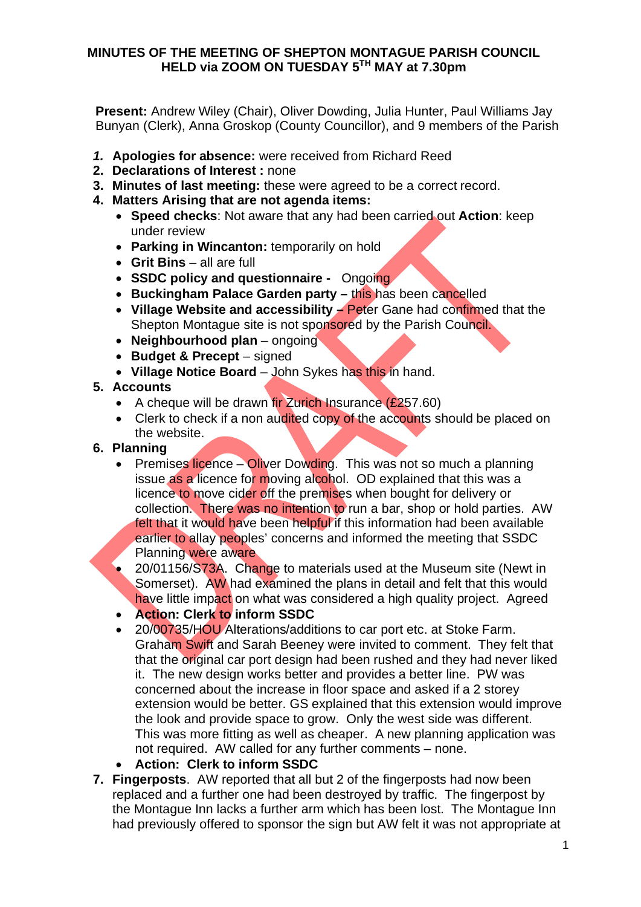#### **MINUTES OF THE MEETING OF SHEPTON MONTAGUE PARISH COUNCIL HELD via ZOOM ON TUESDAY 5TH MAY at 7.30pm**

**Present:** Andrew Wiley (Chair), Oliver Dowding, Julia Hunter, Paul Williams Jay Bunyan (Clerk), Anna Groskop (County Councillor), and 9 members of the Parish

- *1.* **Apologies for absence:** were received from Richard Reed
- **2. Declarations of Interest :** none
- **3. Minutes of last meeting:** these were agreed to be a correct record.
- **4. Matters Arising that are not agenda items:**
	- · **Speed checks**: Not aware that any had been carried out **Action**: keep under review
	- · **Parking in Wincanton:** temporarily on hold
	- · **Grit Bins** all are full
	- · **SSDC policy and questionnaire -** Ongoing
	- · **Buckingham Palace Garden party –** this has been cancelled
	- · **Village Website and accessibility –** Peter Gane had confirmed that the Shepton Montague site is not sponsored by the Parish Council.
	- · **Neighbourhood plan** ongoing
	- · **Budget & Precept** signed
	- · **Village Notice Board** John Sykes has this in hand.
- **5. Accounts**
	- A cheque will be drawn fir Zurich Insurance  $(E257.60)$
	- Clerk to check if a non audited copy of the accounts should be placed on the website.
- **6. Planning**
	- Premises licence Oliver Dowding. This was not so much a planning issue as a licence for moving alcohol. OD explained that this was a licence to move cider off the premises when bought for delivery or collection. There was no intention to run a bar, shop or hold parties. AW felt that it would have been helpful if this information had been available earlier to allay peoples' concerns and informed the meeting that SSDC Planning were aware
	- 20/01156/S73A. Change to materials used at the Museum site (Newt in Somerset). AW had examined the plans in detail and felt that this would have little impact on what was considered a high quality project. Agreed
	- · **Action: Clerk to inform SSDC**
	- · 20/00735/HOU Alterations/additions to car port etc. at Stoke Farm. Graham Swift and Sarah Beeney were invited to comment. They felt that that the original car port design had been rushed and they had never liked it. The new design works better and provides a better line. PW was concerned about the increase in floor space and asked if a 2 storey extension would be better. GS explained that this extension would improve the look and provide space to grow. Only the west side was different. This was more fitting as well as cheaper. A new planning application was not required. AW called for any further comments – none.
	- Action: Clerk to inform SSDC
- **7. Fingerposts**. AW reported that all but 2 of the fingerposts had now been replaced and a further one had been destroyed by traffic. The fingerpost by the Montague Inn lacks a further arm which has been lost. The Montague Inn had previously offered to sponsor the sign but AW felt it was not appropriate at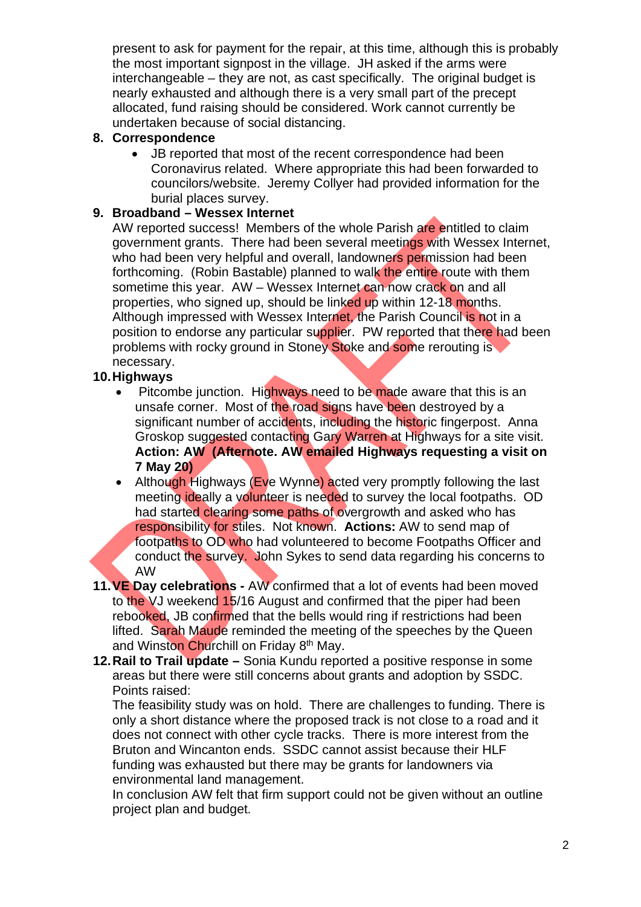present to ask for payment for the repair, at this time, although this is probably the most important signpost in the village. JH asked if the arms were interchangeable – they are not, as cast specifically. The original budget is nearly exhausted and although there is a very small part of the precept allocated, fund raising should be considered. Work cannot currently be undertaken because of social distancing.

## **8. Correspondence**

· JB reported that most of the recent correspondence had been Coronavirus related. Where appropriate this had been forwarded to councilors/website. Jeremy Collyer had provided information for the burial places survey.

# **9. Broadband – Wessex Internet**

AW reported success! Members of the whole Parish are entitled to claim government grants. There had been several meetings with Wessex Internet, who had been very helpful and overall, landowners permission had been forthcoming. (Robin Bastable) planned to walk the entire route with them sometime this year. AW – Wessex Internet can now crack on and all properties, who signed up, should be linked up within 12-18 months. Although impressed with Wessex Internet, the Parish Council is not in a position to endorse any particular supplier. PW reported that there had been problems with rocky ground in Stoney Stoke and some rerouting is necessary.

## **10. Highways**

- Pitcombe junction. Highways need to be made aware that this is an unsafe corner. Most of the road signs have been destroyed by a significant number of accidents, including the historic fingerpost. Anna Groskop suggested contacting Gary Warren at Highways for a site visit. **Action: AW (Afternote. AW emailed Highways requesting a visit on 7 May 20)**
- Although Highways (Eve Wynne) acted very promptly following the last meeting ideally a volunteer is needed to survey the local footpaths. OD had started clearing some paths of overgrowth and asked who has responsibility for stiles. Not known. **Actions:** AW to send map of footpaths to OD who had volunteered to become Footpaths Officer and conduct the survey. John Sykes to send data regarding his concerns to AW
- **11. VE Day celebrations -** AW confirmed that a lot of events had been moved to the VJ weekend 15/16 August and confirmed that the piper had been rebooked, JB confirmed that the bells would ring if restrictions had been lifted. Sarah Maude reminded the meeting of the speeches by the Queen and Winston Churchill on Friday 8<sup>th</sup> May.
- **12. Rail to Trail update –** Sonia Kundu reported a positive response in some areas but there were still concerns about grants and adoption by SSDC. Points raised:

The feasibility study was on hold. There are challenges to funding. There is only a short distance where the proposed track is not close to a road and it does not connect with other cycle tracks. There is more interest from the Bruton and Wincanton ends. SSDC cannot assist because their HLF funding was exhausted but there may be grants for landowners via environmental land management.

In conclusion AW felt that firm support could not be given without an outline project plan and budget.